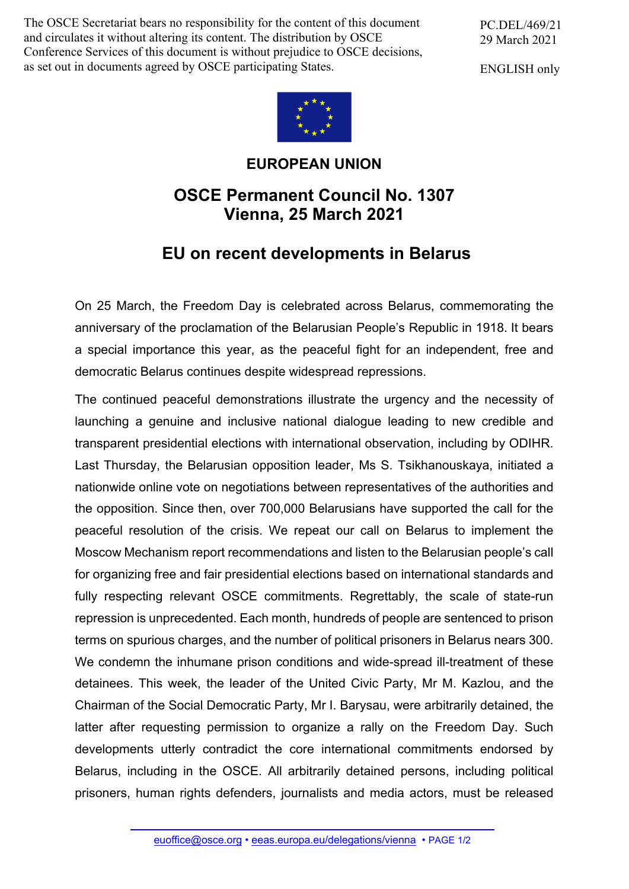The OSCE Secretariat bears no responsibility for the content of this document and circulates it without altering its content. The distribution by OSCE Conference Services of this document is without prejudice to OSCE decisions, as set out in documents agreed by OSCE participating States.

PC.DEL/469/21 29 March 2021

ENGLISH only



## **EUROPEAN UNION**

## **OSCE Permanent Council No. 1307 Vienna, 25 March 2021**

## **EU on recent developments in Belarus**

On 25 March, the Freedom Day is celebrated across Belarus, commemorating the anniversary of the proclamation of the Belarusian People's Republic in 1918. It bears a special importance this year, as the peaceful fight for an independent, free and democratic Belarus continues despite widespread repressions.

The continued peaceful demonstrations illustrate the urgency and the necessity of launching a genuine and inclusive national dialogue leading to new credible and transparent presidential elections with international observation, including by ODIHR. Last Thursday, the Belarusian opposition leader, Ms S. Tsikhanouskaya, initiated a nationwide online vote on negotiations between representatives of the authorities and the opposition. Since then, over 700,000 Belarusians have supported the call for the peaceful resolution of the crisis. We repeat our call on Belarus to implement the Moscow Mechanism report recommendations and listen to the Belarusian people's call for organizing free and fair presidential elections based on international standards and fully respecting relevant OSCE commitments. Regrettably, the scale of state-run repression is unprecedented. Each month, hundreds of people are sentenced to prison terms on spurious charges, and the number of political prisoners in Belarus nears 300. We condemn the inhumane prison conditions and wide-spread ill-treatment of these detainees. This week, the leader of the United Civic Party, Mr M. Kazlou, and the Chairman of the Social Democratic Party, Mr I. Barysau, were arbitrarily detained, the latter after requesting permission to organize a rally on the Freedom Day. Such developments utterly contradict the core international commitments endorsed by Belarus, including in the OSCE. All arbitrarily detained persons, including political prisoners, human rights defenders, journalists and media actors, must be released